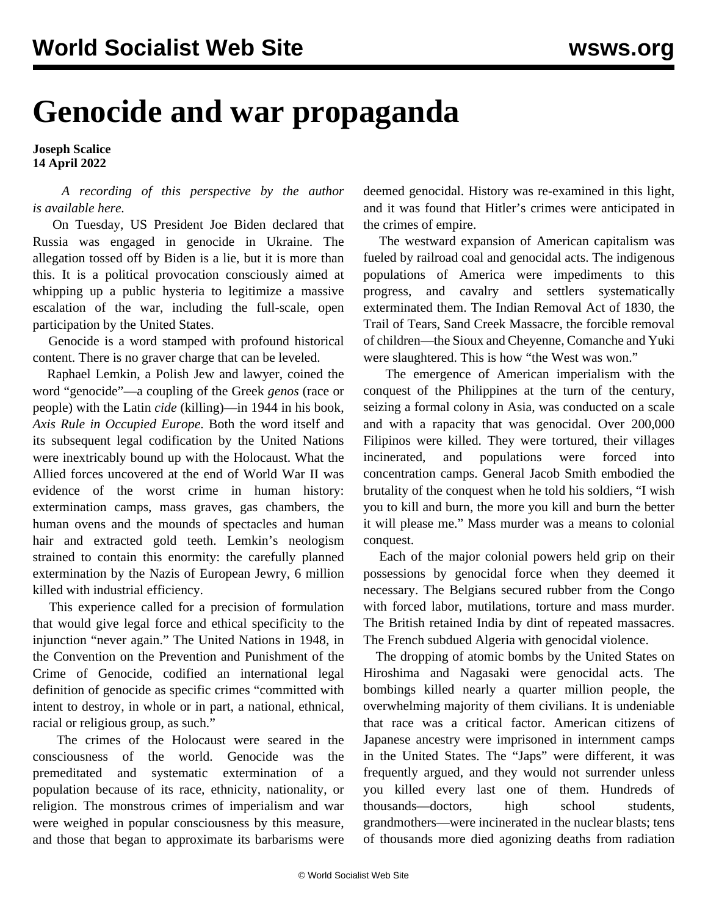## **Genocide and war propaganda**

## **Joseph Scalice 14 April 2022**

 *A recording of this perspective by the author is [available here](https://m.soundcloud.com/wswspodcast/genocide-and-war-propaganda).*

 On Tuesday, US President Joe Biden declared that Russia was engaged in genocide in Ukraine. The allegation tossed off by Biden is a lie, but it is more than this. It is a political provocation consciously aimed at whipping up a public hysteria to legitimize a massive escalation of the war, including the full-scale, open participation by the United States.

 Genocide is a word stamped with profound historical content. There is no graver charge that can be leveled.

 Raphael Lemkin, a Polish Jew and lawyer, coined the word "genocide"—a coupling of the Greek *genos* (race or people) with the Latin *cide* (killing)—in 1944 in his book, *Axis Rule in Occupied Europe*. Both the word itself and its subsequent legal codification by the United Nations were inextricably bound up with the Holocaust. What the Allied forces uncovered at the end of World War II was evidence of the worst crime in human history: extermination camps, mass graves, gas chambers, the human ovens and the mounds of spectacles and human hair and extracted gold teeth. Lemkin's neologism strained to contain this enormity: the carefully planned extermination by the Nazis of European Jewry, 6 million killed with industrial efficiency.

 This experience called for a precision of formulation that would give legal force and ethical specificity to the injunction "never again." The United Nations in 1948, in the Convention on the Prevention and Punishment of the Crime of Genocide, codified an international legal definition of genocide as specific crimes "committed with intent to destroy, in whole or in part, a national, ethnical, racial or religious group, as such."

 The crimes of the Holocaust were seared in the consciousness of the world. Genocide was the premeditated and systematic extermination of a population because of its race, ethnicity, nationality, or religion. The monstrous crimes of imperialism and war were weighed in popular consciousness by this measure, and those that began to approximate its barbarisms were deemed genocidal. History was re-examined in this light, and it was found that Hitler's crimes were anticipated in the crimes of empire.

 The westward expansion of American capitalism was fueled by railroad coal and genocidal acts. The indigenous populations of America were impediments to this progress, and cavalry and settlers systematically exterminated them. The Indian Removal Act of 1830, the Trail of Tears, Sand Creek Massacre, the forcible removal of children—the Sioux and Cheyenne, Comanche and Yuki were slaughtered. This is how "the West was won."

 The emergence of American imperialism with the conquest of the Philippines at the turn of the century, seizing a formal colony in Asia, was conducted on a scale and with a rapacity that was genocidal. Over 200,000 Filipinos were killed. They were tortured, their villages incinerated, and populations were forced into concentration camps. General Jacob Smith embodied the brutality of the conquest when he told his soldiers, "I wish you to kill and burn, the more you kill and burn the better it will please me." Mass murder was a means to colonial conquest.

 Each of the major colonial powers held grip on their possessions by genocidal force when they deemed it necessary. The Belgians secured rubber from the Congo with forced labor, mutilations, torture and mass murder. The British retained India by dint of repeated massacres. The French subdued Algeria with genocidal violence.

 The dropping of atomic bombs by the United States on Hiroshima and Nagasaki were genocidal acts. The bombings killed nearly a quarter million people, the overwhelming majority of them civilians. It is undeniable that race was a critical factor. American citizens of Japanese ancestry were imprisoned in internment camps in the United States. The "Japs" were different, it was frequently argued, and they would not surrender unless you killed every last one of them. Hundreds of thousands—doctors, high school students, grandmothers—were incinerated in the nuclear blasts; tens of thousands more died agonizing deaths from radiation